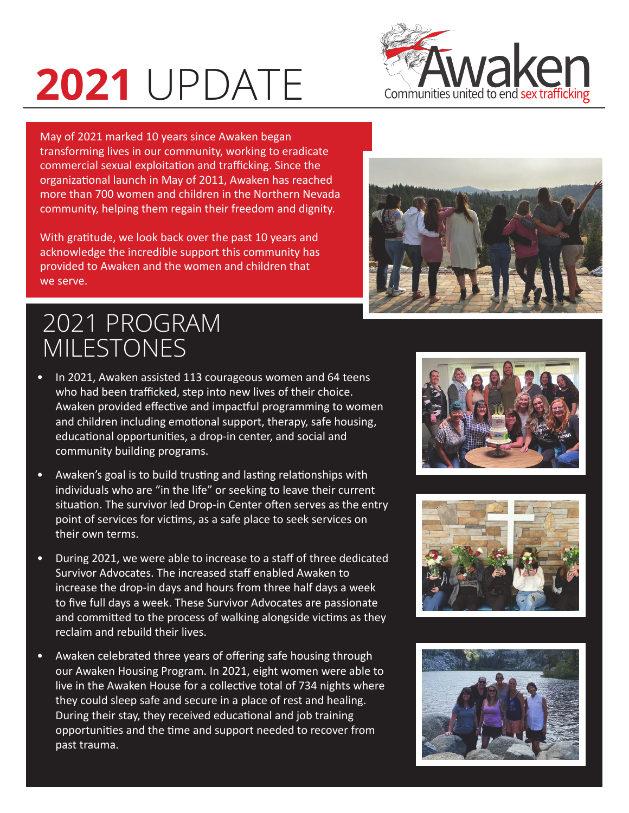## **2021** UPDATE



May of 2021 marked 10 years since Awaken began transforming lives in our community, working to eradicate commercial sexual exploitation and trafficking. Since the organizational launch in May of 2011, Awaken has reached more than 700 women and children in the Northern Nevada community, helping them regain their freedom and dignity.

With gratitude, we look back over the past 10 years and acknowledge the incredible support this community has provided to Awaken and the women and children that we serve.



## 2021 PROGRAM MILESTONES

- In 2021, Awaken assisted 113 courageous women and 64 teens who had been trafficked, step into new lives of their choice. Awaken provided effective and impactful programming to women and children including emotional support, therapy, safe housing, educational opportunities, a drop-in center, and social and community building programs.
- Awaken's goal is to build trusting and lasting relationships with individuals who are "in the life" or seeking to leave their current situation. The survivor led Drop-in Center often serves as the entry point of services for victims, as a safe place to seek services on their own terms.
- During 2021, we were able to increase to a staff of three dedicated Survivor Advocates. The increased staff enabled Awaken to increase the drop-in days and hours from three half days a week to five full days a week. These Survivor Advocates are passionate and committed to the process of walking alongside victims as they reclaim and rebuild their lives.
- Awaken celebrated three years of offering safe housing through our Awaken Housing Program. In 2021, eight women were able to live in the Awaken House for a collective total of 734 nights where they could sleep safe and secure in a place of rest and healing. During their stay, they received educational and job training opportunities and the time and support needed to recover from past trauma.